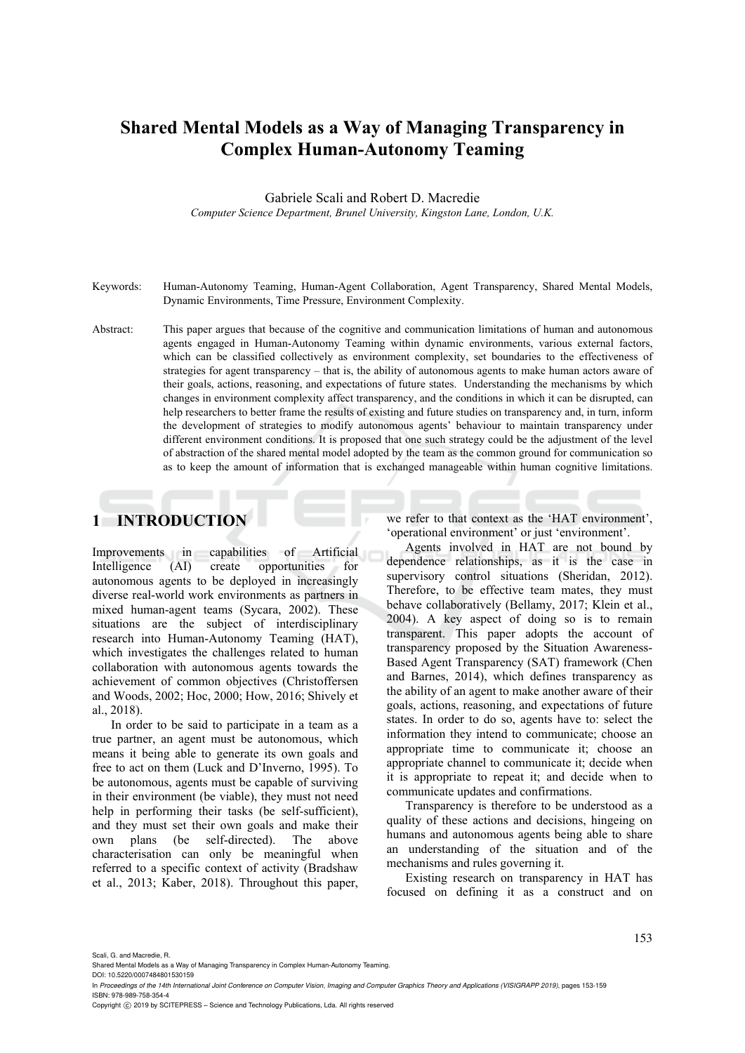# **Shared Mental Models as a Way of Managing Transparency in Complex Human-Autonomy Teaming**

Gabriele Scali and Robert D. Macredie

*Computer Science Department, Brunel University, Kingston Lane, London, U.K.* 

- Keywords: Human-Autonomy Teaming, Human-Agent Collaboration, Agent Transparency, Shared Mental Models, Dynamic Environments, Time Pressure, Environment Complexity.
- Abstract: This paper argues that because of the cognitive and communication limitations of human and autonomous agents engaged in Human-Autonomy Teaming within dynamic environments, various external factors, which can be classified collectively as environment complexity, set boundaries to the effectiveness of strategies for agent transparency – that is, the ability of autonomous agents to make human actors aware of their goals, actions, reasoning, and expectations of future states. Understanding the mechanisms by which changes in environment complexity affect transparency, and the conditions in which it can be disrupted, can help researchers to better frame the results of existing and future studies on transparency and, in turn, inform the development of strategies to modify autonomous agents' behaviour to maintain transparency under different environment conditions. It is proposed that one such strategy could be the adjustment of the level of abstraction of the shared mental model adopted by the team as the common ground for communication so as to keep the amount of information that is exchanged manageable within human cognitive limitations.

## **1 INTRODUCTION**

Improvements in capabilities of Artificial Intelligence (AI) create opportunities for autonomous agents to be deployed in increasingly diverse real-world work environments as partners in mixed human-agent teams (Sycara, 2002). These situations are the subject of interdisciplinary research into Human-Autonomy Teaming (HAT), which investigates the challenges related to human collaboration with autonomous agents towards the achievement of common objectives (Christoffersen and Woods, 2002; Hoc, 2000; How, 2016; Shively et al., 2018).

In order to be said to participate in a team as a true partner, an agent must be autonomous, which means it being able to generate its own goals and free to act on them (Luck and D'Inverno, 1995). To be autonomous, agents must be capable of surviving in their environment (be viable), they must not need help in performing their tasks (be self-sufficient), and they must set their own goals and make their own plans (be self-directed). The above characterisation can only be meaningful when referred to a specific context of activity (Bradshaw et al., 2013; Kaber, 2018). Throughout this paper, we refer to that context as the 'HAT environment', 'operational environment' or just 'environment'.

Agents involved in HAT are not bound by dependence relationships, as it is the case in supervisory control situations (Sheridan, 2012). Therefore, to be effective team mates, they must behave collaboratively (Bellamy, 2017; Klein et al., 2004). A key aspect of doing so is to remain transparent. This paper adopts the account of transparency proposed by the Situation Awareness-Based Agent Transparency (SAT) framework (Chen and Barnes, 2014), which defines transparency as the ability of an agent to make another aware of their goals, actions, reasoning, and expectations of future states. In order to do so, agents have to: select the information they intend to communicate; choose an appropriate time to communicate it; choose an appropriate channel to communicate it; decide when it is appropriate to repeat it; and decide when to communicate updates and confirmations.

Transparency is therefore to be understood as a quality of these actions and decisions, hingeing on humans and autonomous agents being able to share an understanding of the situation and of the mechanisms and rules governing it.

Existing research on transparency in HAT has focused on defining it as a construct and on

Scali, G. and Macredie, R.

Copyright © 2019 by SCITEPRESS - Science and Technology Publications, Lda. All rights reserved

Shared Mental Models as a Way of Managing Transparency in Complex Human-Autonomy Teaming. DOI: 10.5220/0007484801530159

In *Proceedings of the 14th International Joint Conference on Computer Vision, Imaging and Computer Graphics Theory and Applications (VISIGRAPP 2019)*, pages 153-159 ISBN: 978-989-758-354-4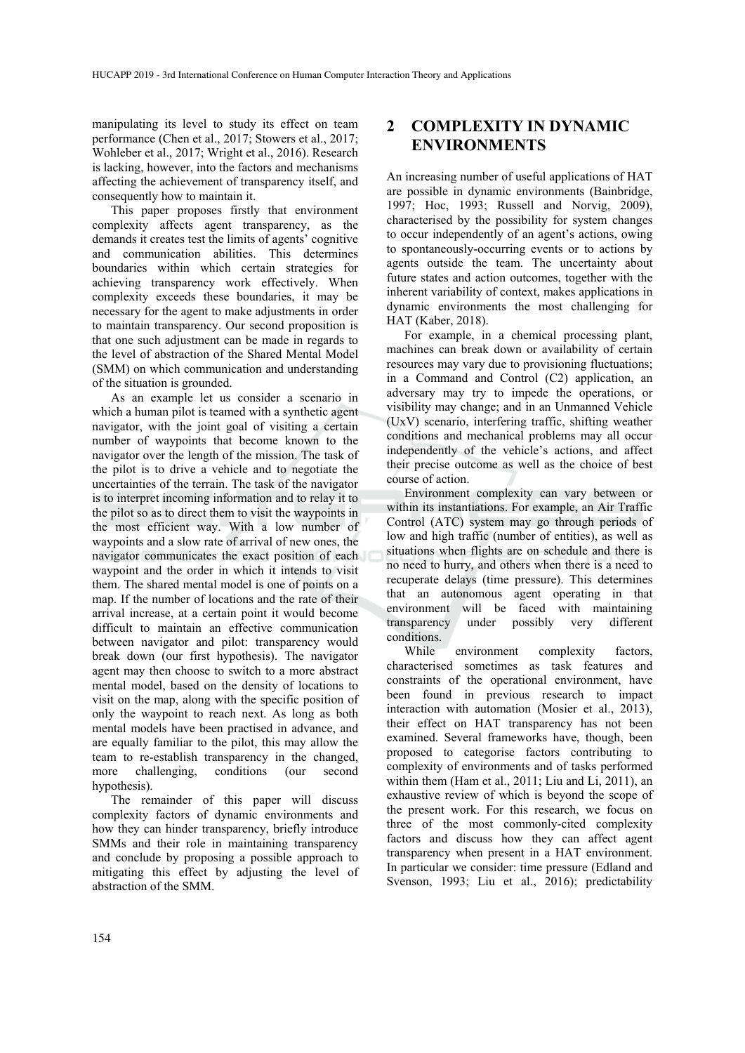manipulating its level to study its effect on team performance (Chen et al., 2017; Stowers et al., 2017; Wohleber et al., 2017; Wright et al., 2016). Research is lacking, however, into the factors and mechanisms affecting the achievement of transparency itself, and consequently how to maintain it.

This paper proposes firstly that environment complexity affects agent transparency, as the demands it creates test the limits of agents' cognitive and communication abilities. This determines boundaries within which certain strategies for achieving transparency work effectively. When complexity exceeds these boundaries, it may be necessary for the agent to make adjustments in order to maintain transparency. Our second proposition is that one such adjustment can be made in regards to the level of abstraction of the Shared Mental Model (SMM) on which communication and understanding of the situation is grounded.

As an example let us consider a scenario in which a human pilot is teamed with a synthetic agent navigator, with the joint goal of visiting a certain number of waypoints that become known to the navigator over the length of the mission. The task of the pilot is to drive a vehicle and to negotiate the uncertainties of the terrain. The task of the navigator is to interpret incoming information and to relay it to the pilot so as to direct them to visit the waypoints in the most efficient way. With a low number of waypoints and a slow rate of arrival of new ones, the navigator communicates the exact position of each waypoint and the order in which it intends to visit them. The shared mental model is one of points on a map. If the number of locations and the rate of their arrival increase, at a certain point it would become difficult to maintain an effective communication between navigator and pilot: transparency would break down (our first hypothesis). The navigator agent may then choose to switch to a more abstract mental model, based on the density of locations to visit on the map, along with the specific position of only the waypoint to reach next. As long as both mental models have been practised in advance, and are equally familiar to the pilot, this may allow the team to re-establish transparency in the changed, more challenging, conditions (our second hypothesis).

The remainder of this paper will discuss complexity factors of dynamic environments and how they can hinder transparency, briefly introduce SMMs and their role in maintaining transparency and conclude by proposing a possible approach to mitigating this effect by adjusting the level of abstraction of the SMM.

### **2 COMPLEXITY IN DYNAMIC ENVIRONMENTS**

An increasing number of useful applications of HAT are possible in dynamic environments (Bainbridge, 1997; Hoc, 1993; Russell and Norvig, 2009), characterised by the possibility for system changes to occur independently of an agent's actions, owing to spontaneously-occurring events or to actions by agents outside the team. The uncertainty about future states and action outcomes, together with the inherent variability of context, makes applications in dynamic environments the most challenging for HAT (Kaber, 2018).

For example, in a chemical processing plant, machines can break down or availability of certain resources may vary due to provisioning fluctuations; in a Command and Control (C2) application, an adversary may try to impede the operations, or visibility may change; and in an Unmanned Vehicle (UxV) scenario, interfering traffic, shifting weather conditions and mechanical problems may all occur independently of the vehicle's actions, and affect their precise outcome as well as the choice of best course of action.

Environment complexity can vary between or within its instantiations. For example, an Air Traffic Control (ATC) system may go through periods of low and high traffic (number of entities), as well as situations when flights are on schedule and there is no need to hurry, and others when there is a need to recuperate delays (time pressure). This determines that an autonomous agent operating in that environment will be faced with maintaining transparency under possibly very different conditions.

While environment complexity factors, characterised sometimes as task features and constraints of the operational environment, have been found in previous research to impact interaction with automation (Mosier et al., 2013), their effect on HAT transparency has not been examined. Several frameworks have, though, been proposed to categorise factors contributing to complexity of environments and of tasks performed within them (Ham et al., 2011; Liu and Li, 2011), an exhaustive review of which is beyond the scope of the present work. For this research, we focus on three of the most commonly-cited complexity factors and discuss how they can affect agent transparency when present in a HAT environment. In particular we consider: time pressure (Edland and Svenson, 1993; Liu et al., 2016); predictability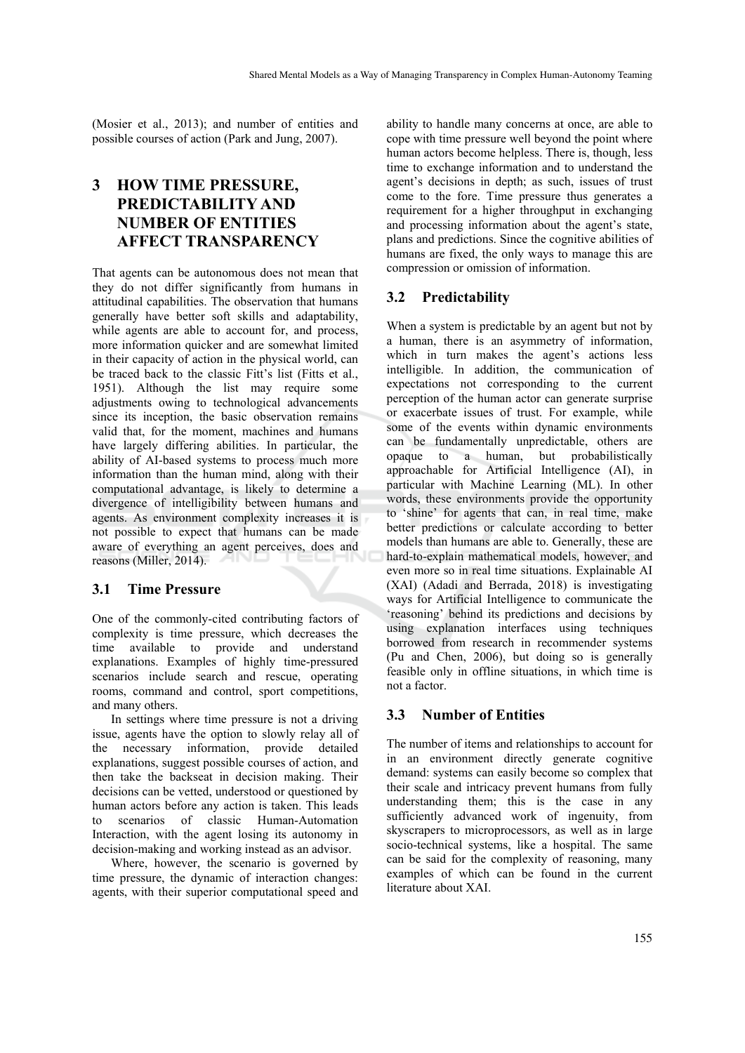(Mosier et al., 2013); and number of entities and possible courses of action (Park and Jung, 2007).

## **3 HOW TIME PRESSURE, PREDICTABILITY AND NUMBER OF ENTITIES AFFECT TRANSPARENCY**

That agents can be autonomous does not mean that they do not differ significantly from humans in attitudinal capabilities. The observation that humans generally have better soft skills and adaptability, while agents are able to account for, and process, more information quicker and are somewhat limited in their capacity of action in the physical world, can be traced back to the classic Fitt's list (Fitts et al., 1951). Although the list may require some adjustments owing to technological advancements since its inception, the basic observation remains valid that, for the moment, machines and humans have largely differing abilities. In particular, the ability of AI-based systems to process much more information than the human mind, along with their computational advantage, is likely to determine a divergence of intelligibility between humans and agents. As environment complexity increases it is not possible to expect that humans can be made aware of everything an agent perceives, does and reasons (Miller, 2014).

#### **3.1 Time Pressure**

One of the commonly-cited contributing factors of complexity is time pressure, which decreases the time available to provide and understand explanations. Examples of highly time-pressured scenarios include search and rescue, operating rooms, command and control, sport competitions, and many others.

In settings where time pressure is not a driving issue, agents have the option to slowly relay all of the necessary information, provide detailed explanations, suggest possible courses of action, and then take the backseat in decision making. Their decisions can be vetted, understood or questioned by human actors before any action is taken. This leads to scenarios of classic Human-Automation Interaction, with the agent losing its autonomy in decision-making and working instead as an advisor.

Where, however, the scenario is governed by time pressure, the dynamic of interaction changes: agents, with their superior computational speed and

ability to handle many concerns at once, are able to cope with time pressure well beyond the point where human actors become helpless. There is, though, less time to exchange information and to understand the agent's decisions in depth; as such, issues of trust come to the fore. Time pressure thus generates a requirement for a higher throughput in exchanging and processing information about the agent's state, plans and predictions. Since the cognitive abilities of humans are fixed, the only ways to manage this are compression or omission of information.

#### **3.2 Predictability**

When a system is predictable by an agent but not by a human, there is an asymmetry of information, which in turn makes the agent's actions less intelligible. In addition, the communication of expectations not corresponding to the current perception of the human actor can generate surprise or exacerbate issues of trust. For example, while some of the events within dynamic environments can be fundamentally unpredictable, others are opaque to a human, but probabilistically approachable for Artificial Intelligence (AI), in particular with Machine Learning (ML). In other words, these environments provide the opportunity to 'shine' for agents that can, in real time, make better predictions or calculate according to better models than humans are able to. Generally, these are hard-to-explain mathematical models, however, and even more so in real time situations. Explainable AI (XAI) (Adadi and Berrada, 2018) is investigating ways for Artificial Intelligence to communicate the 'reasoning' behind its predictions and decisions by using explanation interfaces using techniques borrowed from research in recommender systems (Pu and Chen, 2006), but doing so is generally feasible only in offline situations, in which time is not a factor.

#### **3.3 Number of Entities**

The number of items and relationships to account for in an environment directly generate cognitive demand: systems can easily become so complex that their scale and intricacy prevent humans from fully understanding them; this is the case in any sufficiently advanced work of ingenuity, from skyscrapers to microprocessors, as well as in large socio-technical systems, like a hospital. The same can be said for the complexity of reasoning, many examples of which can be found in the current literature about XAI.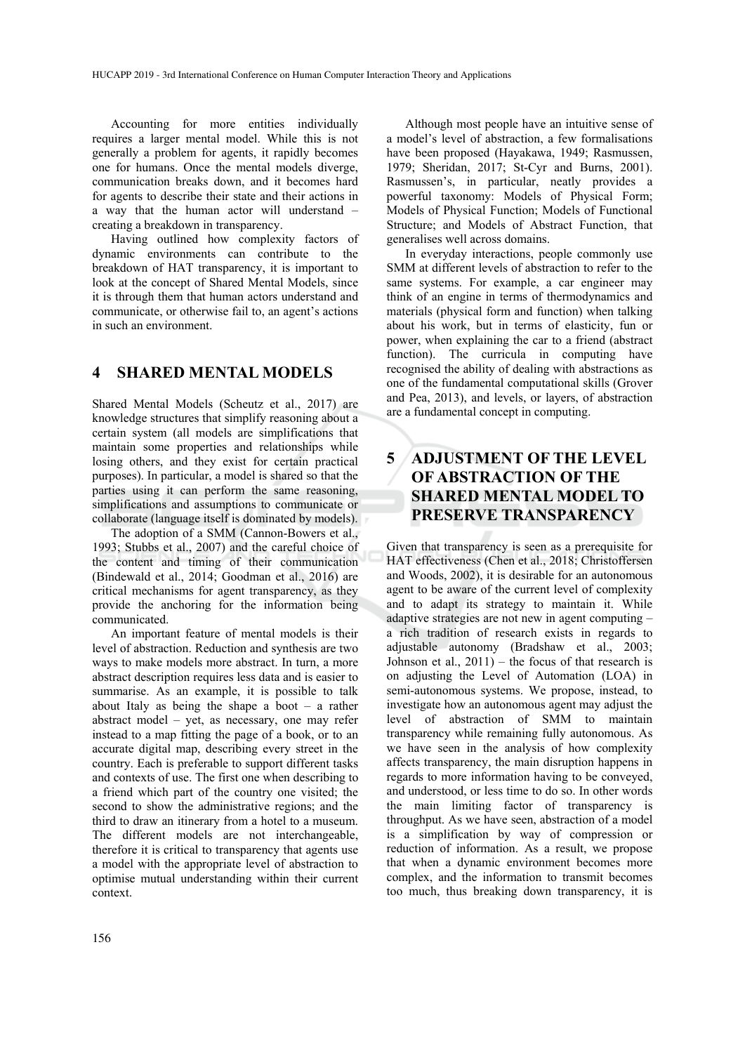Accounting for more entities individually requires a larger mental model. While this is not generally a problem for agents, it rapidly becomes one for humans. Once the mental models diverge, communication breaks down, and it becomes hard for agents to describe their state and their actions in a way that the human actor will understand – creating a breakdown in transparency.

Having outlined how complexity factors of dynamic environments can contribute to the breakdown of HAT transparency, it is important to look at the concept of Shared Mental Models, since it is through them that human actors understand and communicate, or otherwise fail to, an agent's actions in such an environment.

#### **4 SHARED MENTAL MODELS**

Shared Mental Models (Scheutz et al., 2017) are knowledge structures that simplify reasoning about a certain system (all models are simplifications that maintain some properties and relationships while losing others, and they exist for certain practical purposes). In particular, a model is shared so that the parties using it can perform the same reasoning, simplifications and assumptions to communicate or collaborate (language itself is dominated by models).

The adoption of a SMM (Cannon-Bowers et al., 1993; Stubbs et al., 2007) and the careful choice of the content and timing of their communication (Bindewald et al., 2014; Goodman et al., 2016) are critical mechanisms for agent transparency, as they provide the anchoring for the information being communicated.

An important feature of mental models is their level of abstraction. Reduction and synthesis are two ways to make models more abstract. In turn, a more abstract description requires less data and is easier to summarise. As an example, it is possible to talk about Italy as being the shape a boot – a rather abstract model – yet, as necessary, one may refer instead to a map fitting the page of a book, or to an accurate digital map, describing every street in the country. Each is preferable to support different tasks and contexts of use. The first one when describing to a friend which part of the country one visited; the second to show the administrative regions; and the third to draw an itinerary from a hotel to a museum. The different models are not interchangeable, therefore it is critical to transparency that agents use a model with the appropriate level of abstraction to optimise mutual understanding within their current context.

Although most people have an intuitive sense of a model's level of abstraction, a few formalisations have been proposed (Hayakawa, 1949; Rasmussen, 1979; Sheridan, 2017; St-Cyr and Burns, 2001). Rasmussen's, in particular, neatly provides a powerful taxonomy: Models of Physical Form; Models of Physical Function; Models of Functional Structure; and Models of Abstract Function, that generalises well across domains.

In everyday interactions, people commonly use SMM at different levels of abstraction to refer to the same systems. For example, a car engineer may think of an engine in terms of thermodynamics and materials (physical form and function) when talking about his work, but in terms of elasticity, fun or power, when explaining the car to a friend (abstract function). The curricula in computing have recognised the ability of dealing with abstractions as one of the fundamental computational skills (Grover and Pea, 2013), and levels, or layers, of abstraction are a fundamental concept in computing.

## **5 ADJUSTMENT OF THE LEVEL OF ABSTRACTION OF THE SHARED MENTAL MODEL TO PRESERVE TRANSPARENCY**

Given that transparency is seen as a prerequisite for HAT effectiveness (Chen et al., 2018; Christoffersen and Woods, 2002), it is desirable for an autonomous agent to be aware of the current level of complexity and to adapt its strategy to maintain it. While adaptive strategies are not new in agent computing – a rich tradition of research exists in regards to adjustable autonomy (Bradshaw et al., 2003; Johnson et al.,  $2011$ ) – the focus of that research is on adjusting the Level of Automation (LOA) in semi-autonomous systems. We propose, instead, to investigate how an autonomous agent may adjust the level of abstraction of SMM to maintain transparency while remaining fully autonomous. As we have seen in the analysis of how complexity affects transparency, the main disruption happens in regards to more information having to be conveyed, and understood, or less time to do so. In other words the main limiting factor of transparency is throughput. As we have seen, abstraction of a model is a simplification by way of compression or reduction of information. As a result, we propose that when a dynamic environment becomes more complex, and the information to transmit becomes too much, thus breaking down transparency, it is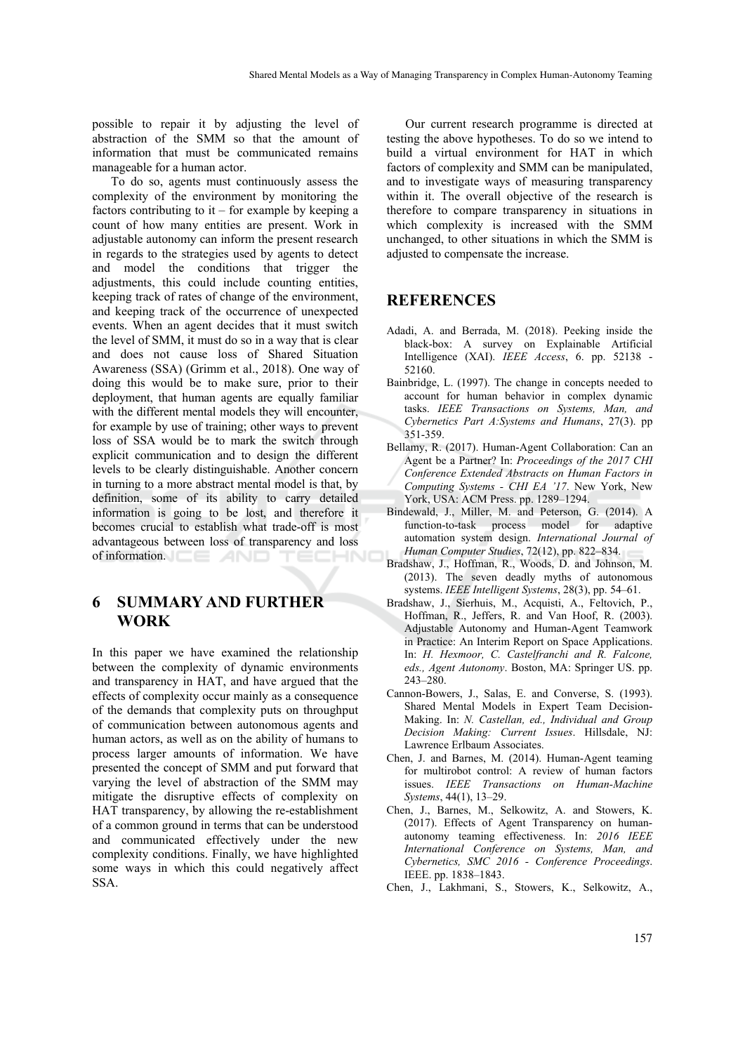possible to repair it by adjusting the level of abstraction of the SMM so that the amount of information that must be communicated remains manageable for a human actor.

To do so, agents must continuously assess the complexity of the environment by monitoring the factors contributing to  $it$  – for example by keeping a count of how many entities are present. Work in adjustable autonomy can inform the present research in regards to the strategies used by agents to detect and model the conditions that trigger the adjustments, this could include counting entities, keeping track of rates of change of the environment, and keeping track of the occurrence of unexpected events. When an agent decides that it must switch the level of SMM, it must do so in a way that is clear and does not cause loss of Shared Situation Awareness (SSA) (Grimm et al., 2018). One way of doing this would be to make sure, prior to their deployment, that human agents are equally familiar with the different mental models they will encounter, for example by use of training; other ways to prevent loss of SSA would be to mark the switch through explicit communication and to design the different levels to be clearly distinguishable. Another concern in turning to a more abstract mental model is that, by definition, some of its ability to carry detailed information is going to be lost, and therefore it becomes crucial to establish what trade-off is most advantageous between loss of transparency and loss of information.  $\square \equiv \Box$ 

### **6 SUMMARY AND FURTHER WORK**

In this paper we have examined the relationship between the complexity of dynamic environments and transparency in HAT, and have argued that the effects of complexity occur mainly as a consequence of the demands that complexity puts on throughput of communication between autonomous agents and human actors, as well as on the ability of humans to process larger amounts of information. We have presented the concept of SMM and put forward that varying the level of abstraction of the SMM may mitigate the disruptive effects of complexity on HAT transparency, by allowing the re-establishment of a common ground in terms that can be understood and communicated effectively under the new complexity conditions. Finally, we have highlighted some ways in which this could negatively affect SSA.

Our current research programme is directed at testing the above hypotheses. To do so we intend to build a virtual environment for HAT in which factors of complexity and SMM can be manipulated, and to investigate ways of measuring transparency within it. The overall objective of the research is therefore to compare transparency in situations in which complexity is increased with the SMM unchanged, to other situations in which the SMM is adjusted to compensate the increase.

#### **REFERENCES**

- Adadi, A. and Berrada, M. (2018). Peeking inside the black-box: A survey on Explainable Artificial Intelligence (XAI). *IEEE Access*, 6. pp. 52138 - 52160.
- Bainbridge, L. (1997). The change in concepts needed to account for human behavior in complex dynamic tasks. *IEEE Transactions on Systems, Man, and Cybernetics Part A:Systems and Humans*, 27(3). pp 351-359.
- Bellamy, R. (2017). Human-Agent Collaboration: Can an Agent be a Partner? In: *Proceedings of the 2017 CHI Conference Extended Abstracts on Human Factors in Computing Systems - CHI EA '17*. New York, New York, USA: ACM Press. pp. 1289–1294.
- Bindewald, J., Miller, M. and Peterson, G. (2014). A function-to-task process model for adaptive automation system design. *International Journal of Human Computer Studies*, 72(12), pp. 822–834.
- Bradshaw, J., Hoffman, R., Woods, D. and Johnson, M. (2013). The seven deadly myths of autonomous systems. *IEEE Intelligent Systems*, 28(3), pp. 54–61.
- Bradshaw, J., Sierhuis, M., Acquisti, A., Feltovich, P., Hoffman, R., Jeffers, R. and Van Hoof, R. (2003). Adjustable Autonomy and Human-Agent Teamwork in Practice: An Interim Report on Space Applications. In: *H. Hexmoor, C. Castelfranchi and R. Falcone, eds., Agent Autonomy*. Boston, MA: Springer US. pp. 243–280.
- Cannon-Bowers, J., Salas, E. and Converse, S. (1993). Shared Mental Models in Expert Team Decision-Making. In: *N. Castellan, ed., Individual and Group Decision Making: Current Issues*. Hillsdale, NJ: Lawrence Erlbaum Associates.
- Chen, J. and Barnes, M. (2014). Human-Agent teaming for multirobot control: A review of human factors issues. *IEEE Transactions on Human-Machine Systems*, 44(1), 13–29.
- Chen, J., Barnes, M., Selkowitz, A. and Stowers, K. (2017). Effects of Agent Transparency on humanautonomy teaming effectiveness. In: *2016 IEEE International Conference on Systems, Man, and Cybernetics, SMC 2016 - Conference Proceedings*. IEEE. pp. 1838–1843.
- Chen, J., Lakhmani, S., Stowers, K., Selkowitz, A.,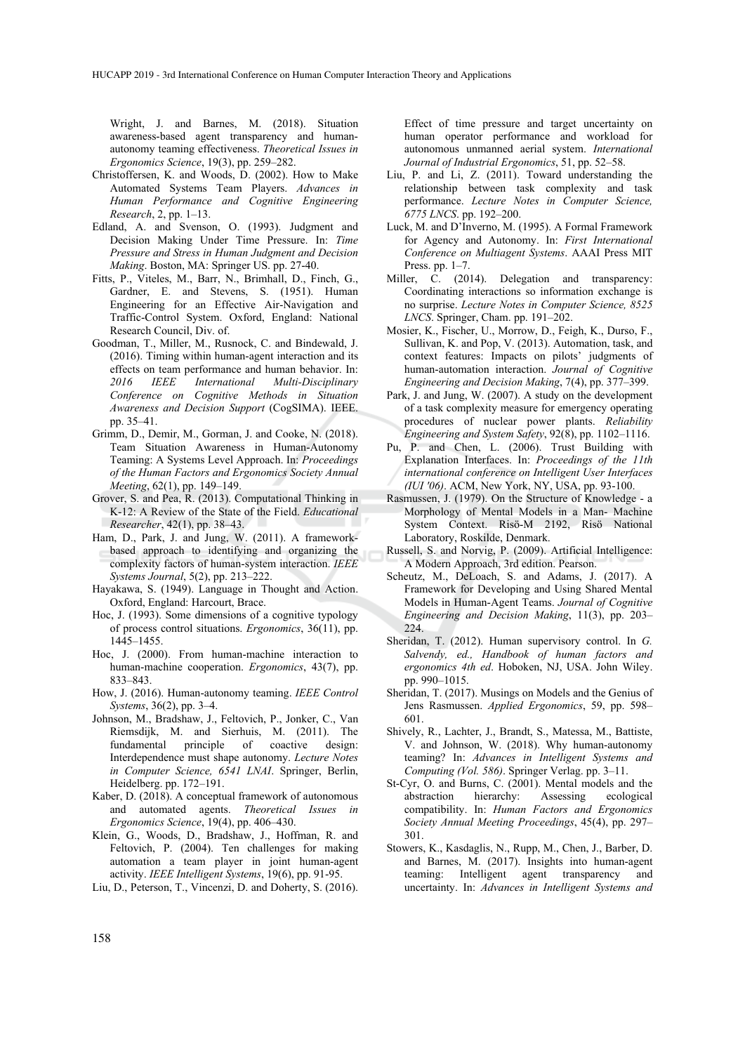Wright, J. and Barnes, M. (2018). Situation awareness-based agent transparency and humanautonomy teaming effectiveness. *Theoretical Issues in Ergonomics Science*, 19(3), pp. 259–282.

- Christoffersen, K. and Woods, D. (2002). How to Make Automated Systems Team Players. *Advances in Human Performance and Cognitive Engineering Research*, 2, pp. 1–13.
- Edland, A. and Svenson, O. (1993). Judgment and Decision Making Under Time Pressure. In: *Time Pressure and Stress in Human Judgment and Decision Making*. Boston, MA: Springer US. pp. 27-40.
- Fitts, P., Viteles, M., Barr, N., Brimhall, D., Finch, G., Gardner, E. and Stevens, S. (1951). Human Engineering for an Effective Air-Navigation and Traffic-Control System. Oxford, England: National Research Council, Div. of.
- Goodman, T., Miller, M., Rusnock, C. and Bindewald, J. (2016). Timing within human-agent interaction and its effects on team performance and human behavior. In: *2016 IEEE International Multi-Disciplinary Conference on Cognitive Methods in Situation Awareness and Decision Support* (CogSIMA). IEEE. pp. 35–41.
- Grimm, D., Demir, M., Gorman, J. and Cooke, N. (2018). Team Situation Awareness in Human-Autonomy Teaming: A Systems Level Approach. In: *Proceedings of the Human Factors and Ergonomics Society Annual Meeting*, 62(1), pp. 149–149.
- Grover, S. and Pea, R. (2013). Computational Thinking in K-12: A Review of the State of the Field. *Educational Researcher*, 42(1), pp. 38–43.
- Ham, D., Park, J. and Jung, W. (2011). A frameworkbased approach to identifying and organizing the complexity factors of human-system interaction. *IEEE Systems Journal*, 5(2), pp. 213–222.
- Hayakawa, S. (1949). Language in Thought and Action. Oxford, England: Harcourt, Brace.
- Hoc, J. (1993). Some dimensions of a cognitive typology of process control situations. *Ergonomics*, 36(11), pp. 1445–1455.
- Hoc, J. (2000). From human-machine interaction to human-machine cooperation. *Ergonomics*, 43(7), pp. 833–843.
- How, J. (2016). Human-autonomy teaming. *IEEE Control Systems*, 36(2), pp. 3–4.
- Johnson, M., Bradshaw, J., Feltovich, P., Jonker, C., Van Riemsdijk, M. and Sierhuis, M. (2011). The fundamental principle of coactive design: Interdependence must shape autonomy. *Lecture Notes in Computer Science, 6541 LNAI*. Springer, Berlin, Heidelberg. pp. 172–191.
- Kaber, D. (2018). A conceptual framework of autonomous and automated agents. *Theoretical Issues in Ergonomics Science*, 19(4), pp. 406–430.
- Klein, G., Woods, D., Bradshaw, J., Hoffman, R. and Feltovich, P. (2004). Ten challenges for making automation a team player in joint human-agent activity. *IEEE Intelligent Systems*, 19(6), pp. 91-95.
- Liu, D., Peterson, T., Vincenzi, D. and Doherty, S. (2016).

 Effect of time pressure and target uncertainty on human operator performance and workload for autonomous unmanned aerial system. *International Journal of Industrial Ergonomics*, 51, pp. 52–58.

- Liu, P. and Li, Z. (2011). Toward understanding the relationship between task complexity and task performance. *Lecture Notes in Computer Science, 6775 LNCS*. pp. 192–200.
- Luck, M. and D'Inverno, M. (1995). A Formal Framework for Agency and Autonomy. In: *First International Conference on Multiagent Systems*. AAAI Press MIT Press. pp. 1–7.
- Miller, C. (2014). Delegation and transparency: Coordinating interactions so information exchange is no surprise. *Lecture Notes in Computer Science, 8525 LNCS*. Springer, Cham. pp. 191–202.
- Mosier, K., Fischer, U., Morrow, D., Feigh, K., Durso, F., Sullivan, K. and Pop, V. (2013). Automation, task, and context features: Impacts on pilots' judgments of human-automation interaction. *Journal of Cognitive Engineering and Decision Making*, 7(4), pp. 377–399.
- Park, J. and Jung, W. (2007). A study on the development of a task complexity measure for emergency operating procedures of nuclear power plants. *Reliability Engineering and System Safety*, 92(8), pp. 1102–1116.
- Pu, P. and Chen, L. (2006). Trust Building with Explanation Interfaces. In: *Proceedings of the 11th international conference on Intelligent User Interfaces (IUI '06)*. ACM, New York, NY, USA, pp. 93-100.
- Rasmussen, J. (1979). On the Structure of Knowledge a Morphology of Mental Models in a Man- Machine System Context. Risö-M 2192, Risö National Laboratory, Roskilde, Denmark.
- Russell, S. and Norvig, P. (2009). Artificial Intelligence: A Modern Approach, 3rd edition. Pearson.
- Scheutz, M., DeLoach, S. and Adams, J. (2017). A Framework for Developing and Using Shared Mental Models in Human-Agent Teams. *Journal of Cognitive Engineering and Decision Making*, 11(3), pp. 203– 224.
- Sheridan, T. (2012). Human supervisory control. In *G. Salvendy, ed., Handbook of human factors and ergonomics 4th ed*. Hoboken, NJ, USA. John Wiley. pp. 990–1015.
- Sheridan, T. (2017). Musings on Models and the Genius of Jens Rasmussen. *Applied Ergonomics*, 59, pp. 598– 601.
- Shively, R., Lachter, J., Brandt, S., Matessa, M., Battiste, V. and Johnson, W. (2018). Why human-autonomy teaming? In: *Advances in Intelligent Systems and Computing (Vol. 586)*. Springer Verlag. pp. 3–11.
- St-Cyr, O. and Burns, C. (2001). Mental models and the abstraction hierarchy: Assessing ecological compatibility. In: *Human Factors and Ergonomics Society Annual Meeting Proceedings*, 45(4), pp. 297– 301.
- Stowers, K., Kasdaglis, N., Rupp, M., Chen, J., Barber, D. and Barnes, M. (2017). Insights into human-agent teaming: Intelligent agent transparency and uncertainty. In: *Advances in Intelligent Systems and*